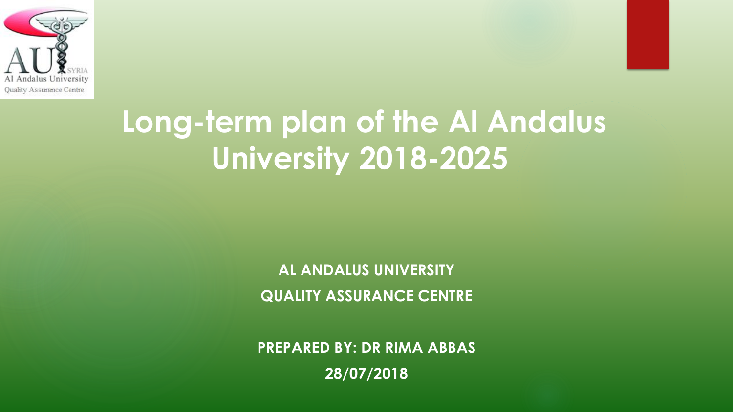

# **Long-term plan of the Al Andalus University 2018-2025**

**AL ANDALUS UNIVERSITY QUALITY ASSURANCE CENTRE**

**PREPARED BY: DR RIMA ABBAS 28/07/2018**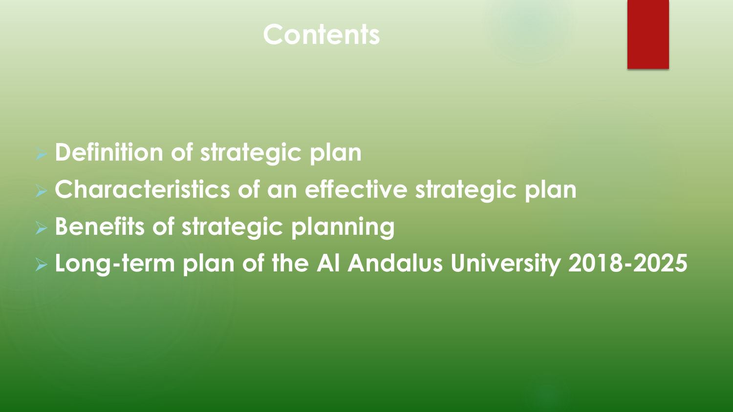

# **Definition of strategic plan Characteristics of an effective strategic plan Benefits of strategic planning Long-term plan of the Al Andalus University 2018-2025**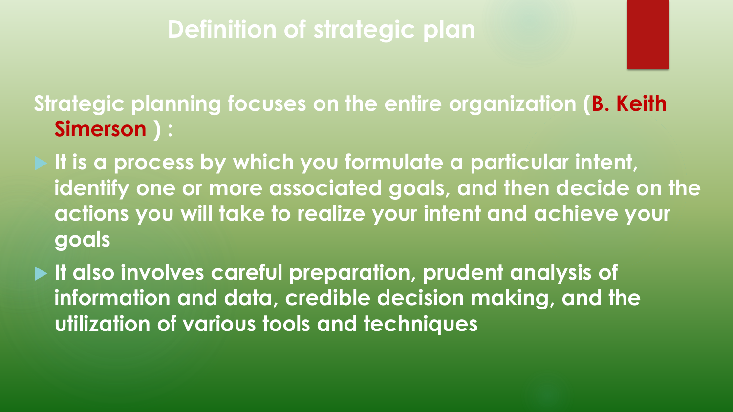### **Definition of strategic plan**

**Strategic planning focuses on the entire organization (B. Keith Simerson ) :** 

 **It is a process by which you formulate a particular intent, identify one or more associated goals, and then decide on the actions you will take to realize your intent and achieve your goals** 

 **It also involves careful preparation, prudent analysis of information and data, credible decision making, and the utilization of various tools and techniques**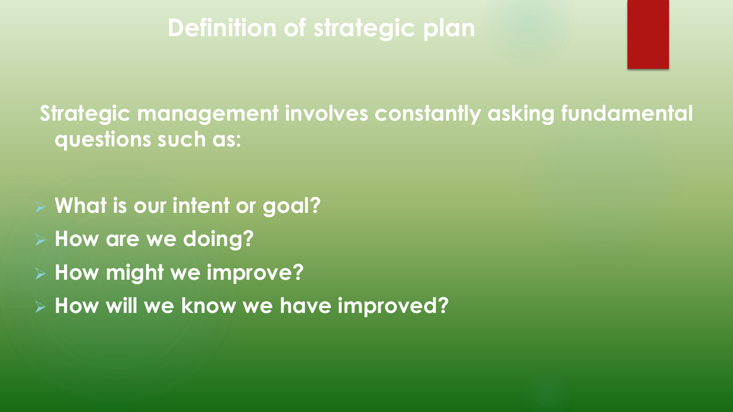### **Definition of strategic plan**

**Strategic management involves constantly asking fundamental questions such as:** 

 **What is our intent or goal? How are we doing? How might we improve?** 

**How will we know we have improved?**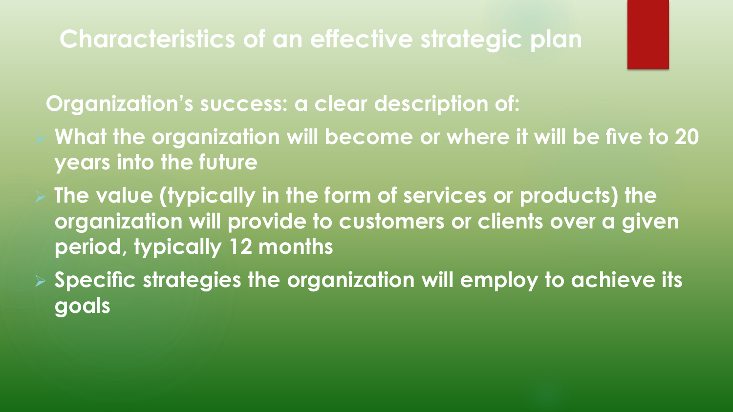**Organization's success: a clear description of:**

- **What the organization will become or where it will be five to 20 years into the future**
- **The value (typically in the form of services or products) the organization will provide to customers or clients over a given period, typically 12 months**
- **Specific strategies the organization will employ to achieve its goals**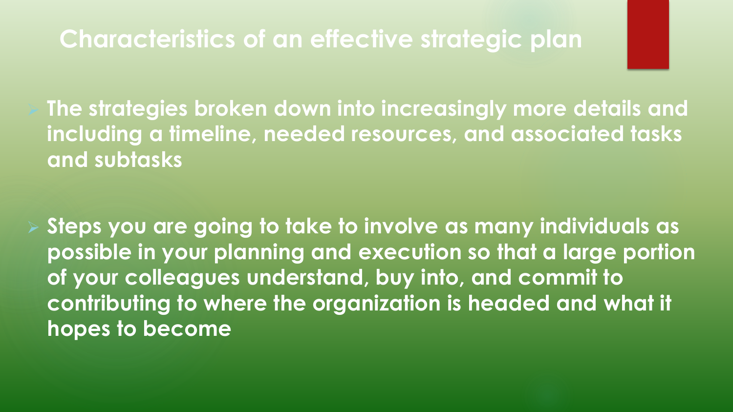**The strategies broken down into increasingly more details and including a timeline, needed resources, and associated tasks and subtasks**

 **Steps you are going to take to involve as many individuals as possible in your planning and execution so that a large portion of your colleagues understand, buy into, and commit to contributing to where the organization is headed and what it hopes to become**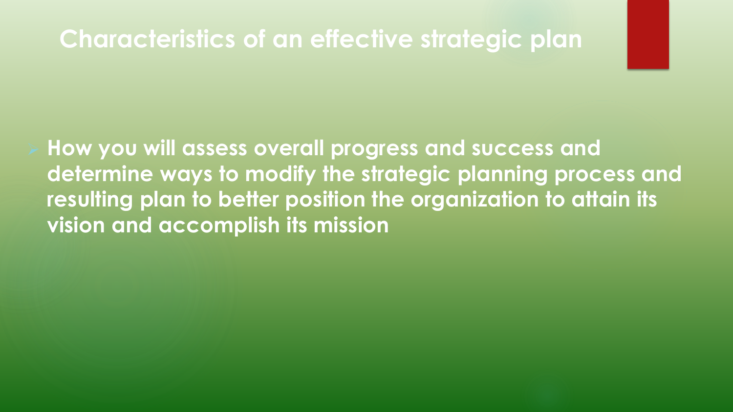**How you will assess overall progress and success and determine ways to modify the strategic planning process and resulting plan to better position the organization to attain its vision and accomplish its mission**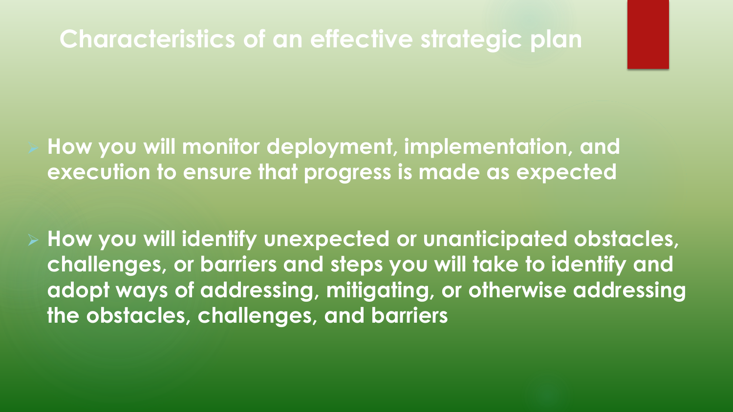**How you will monitor deployment, implementation, and execution to ensure that progress is made as expected**

 **How you will identify unexpected or unanticipated obstacles, challenges, or barriers and steps you will take to identify and adopt ways of addressing, mitigating, or otherwise addressing the obstacles, challenges, and barriers**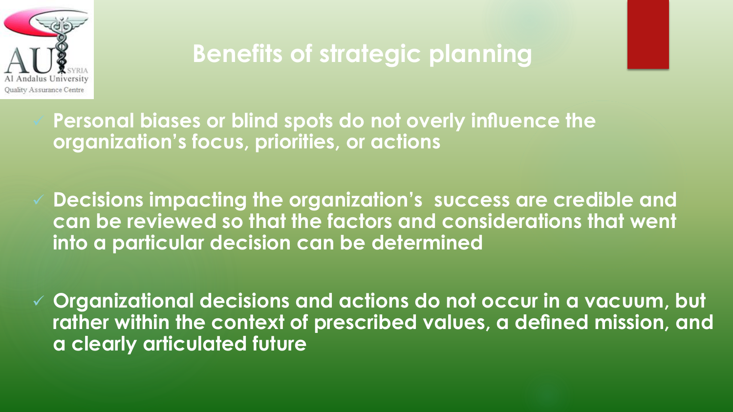

## **Benefits of strategic planning**

 **Personal biases or blind spots do not overly influence the organization's focus, priorities, or actions**

 **Decisions impacting the organization's success are credible and can be reviewed so that the factors and considerations that went into a particular decision can be determined**

 **Organizational decisions and actions do not occur in a vacuum, but rather within the context of prescribed values, a defined mission, and a clearly articulated future**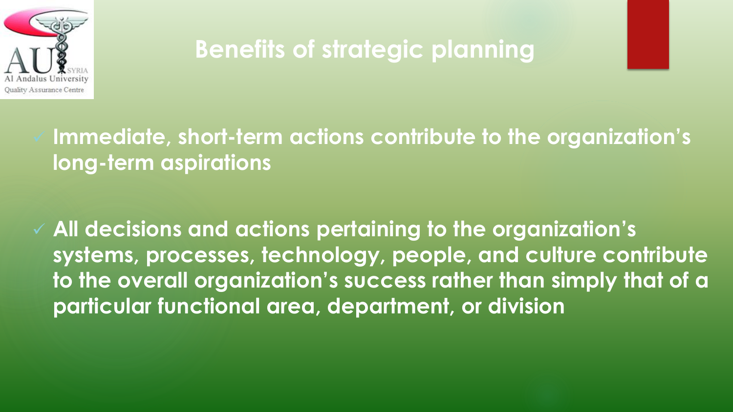

## **Benefits of strategic planning**

 **Immediate, short-term actions contribute to the organization's long-term aspirations**

 **All decisions and actions pertaining to the organization's systems, processes, technology, people, and culture contribute to the overall organization's success rather than simply that of a particular functional area, department, or division**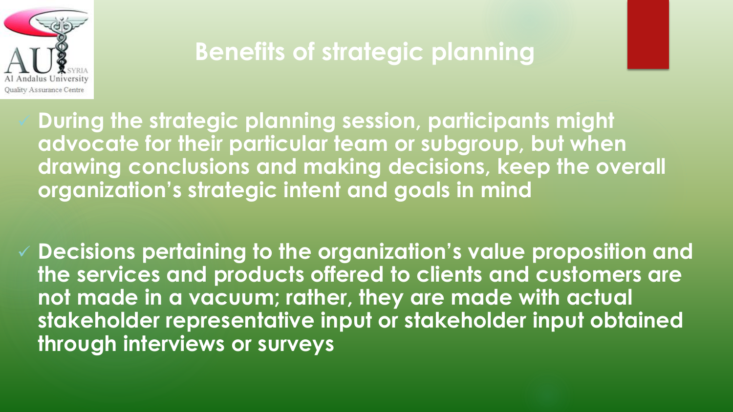

## **Benefits of strategic planning**

 **During the strategic planning session, participants might advocate for their particular team or subgroup, but when drawing conclusions and making decisions, keep the overall organization's strategic intent and goals in mind**

 **Decisions pertaining to the organization's value proposition and the services and products offered to clients and customers are not made in a vacuum; rather, they are made with actual stakeholder representative input or stakeholder input obtained through interviews or surveys**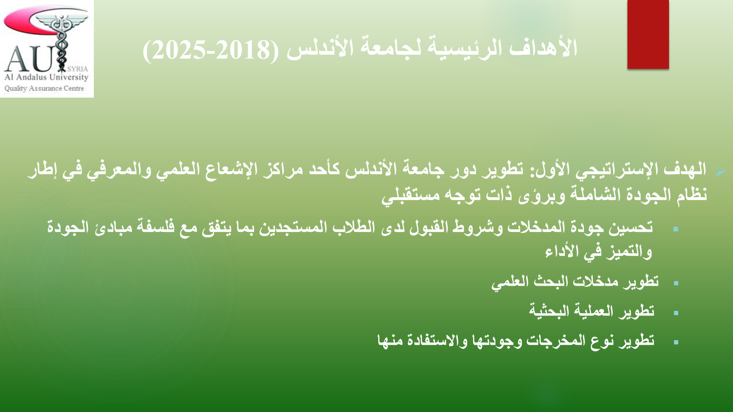

- **الهدف اإلستراتيجي األول: تطوير دور جامعة األندلس كأحد مراكز اإلشعاع العلمي والمعرفي في إطار نظام الجودة الشاملة وبرؤى ذات توجه مستقبلي**
	- **تحسين جودة المدخالت وشروط القبول لدى الطالب المستجدين بما يتفق مع فلسفة مبادئ الجودة والتميز في األداء**
		- **تطوير مدخالت البحث العلمي**
			- **تطوير العملية البحثية**
		- **تطوير نوع المخرجات وجودتها واالستفادة منها**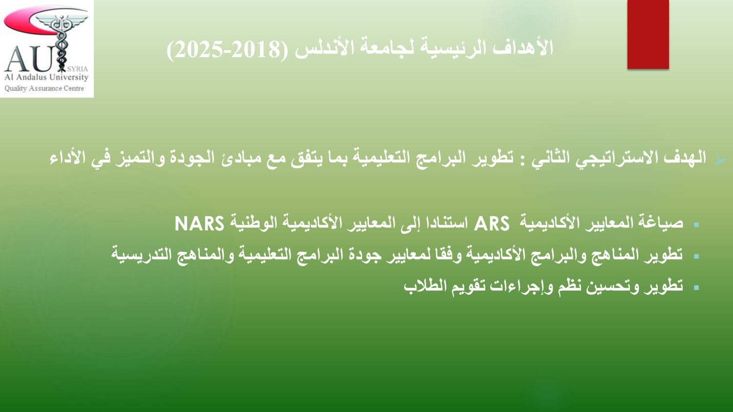

### الـهدف الاستراتيجي الثاني : تطوير البرامج التعليمية بما يتفق مع مبادئ الجودة والتميز ف*ي* الأداء

- **صياغة المعايير األكاديمية ARS استنادا إلى المعايير األكاديمية الوطنية NARS**
- **تطوير المناهج والبرامج األكاديمية وفقا لمعايير جودة البرامج التعليمية والمناهج التدريسية**
	- **تطوير وتحسين نظم وإجراءات تقويم الطالب**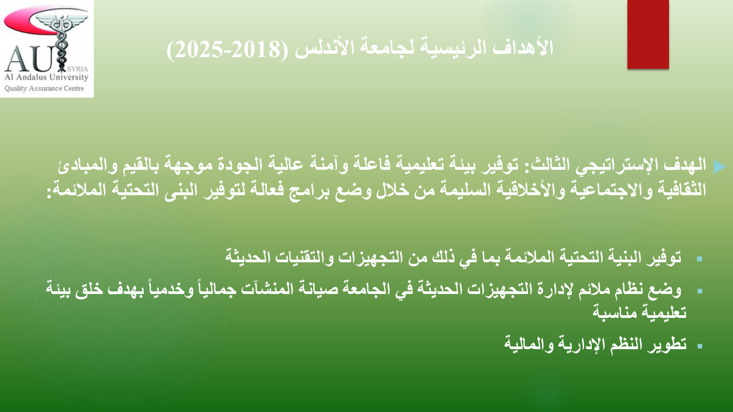

### **الهدف اإلستراتيجي الثالث: توفير بيئة تعليمية فاعلة وآمنة عالية الجودة موجهة بالقيم والمبادئ الثقافية واالجتماعية واألخالقية السليمة من خالل وضع برامج فعالة لتوفير البنى التحتية المالئمة:**

- **توفير البنية التحتية المالئمة بما في ذلك من التجهيزات والتقنيات الحديثة**
- **بهدف خلق بيئة وخدمياً وضع نظام مالئم إلدارة التجهيزات الحديثة في الجامعة صيانة المنشآت جمالياً تعليمية مناسبة**
	- **تطوير النظم اإلدارية والمالية**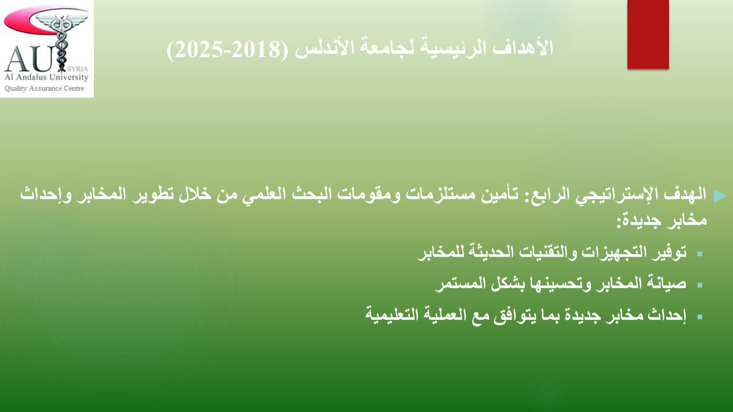

- **الهدف اإلستراتيجي الرابع: تأمين مستلزمات ومقومات البحث العلمي من خالل تطوير المخابر وإحداث مخابر جديدة:**
	- **توفير التجهيزات والتقنيات الحديثة للمخابر**
		- **صيانة المخابر وتحسينها بشكل المستمر**
	- **إحداث مخابر جديدة بما يتوافق مع العملية التعليمية**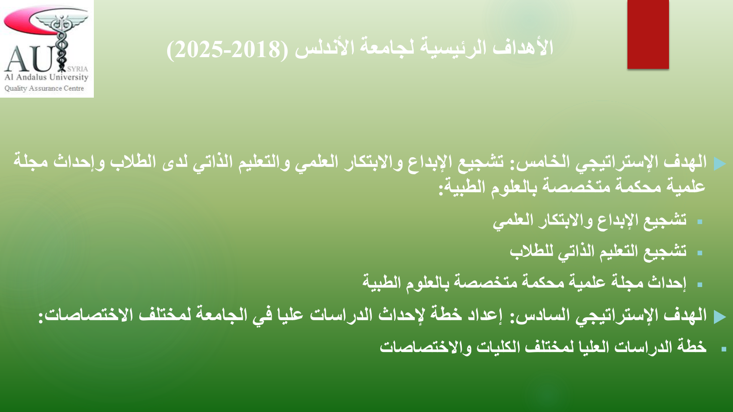

- **الهدف اإلستراتيجي الخامس: تشجيع اإلبداع واالبتكار العلمي والتعليم الذاتي لدى الطالب وإحداث مجلة علمية محكمة متخصصة بالعلوم الطبية:**
	- **تشجيع اإلبداع واالبتكار العلمي** 
		- **تشجيع التعليم الذاتي للطالب**
	- **إحداث مجلة علمية محكمة متخصصة بالعلوم الطبية**
	- **الهدف اإلستراتيجي السادس: إعداد خطة إلحداث الدراسات عليا في الجامعة لمختلف االختصاصات:**
		- **خطة الدراسات العليا لمختلف الكليات واالختصاصات**